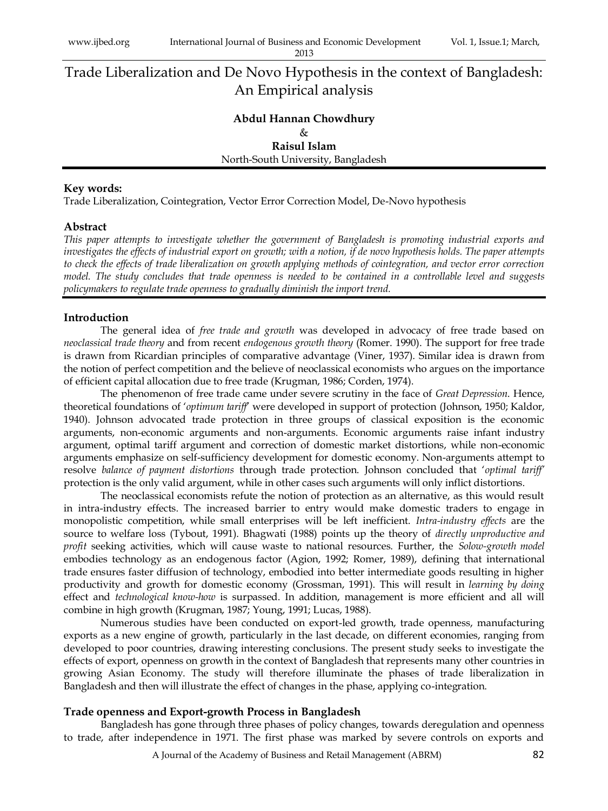# Trade Liberalization and De Novo Hypothesis in the context of Bangladesh: An Empirical analysis

## **Abdul Hannan Chowdhury** & **Raisul Islam**

North-South University, Bangladesh

#### **Key words:**

Trade Liberalization, Cointegration, Vector Error Correction Model, De-Novo hypothesis

## **Abstract**

*This paper attempts to investigate whether the government of Bangladesh is promoting industrial exports and investigates the effects of industrial export on growth; with a notion, if de novo hypothesis holds. The paper attempts to check the effects of trade liberalization on growth applying methods of cointegration, and vector error correction model. The study concludes that trade openness is needed to be contained in a controllable level and suggests policymakers to regulate trade openness to gradually diminish the import trend.*

## **Introduction**

The general idea of *free trade and growth* was developed in advocacy of free trade based on *neoclassical trade theory* and from recent *endogenous growth theory* (Romer. 1990). The support for free trade is drawn from Ricardian principles of comparative advantage (Viner, 1937). Similar idea is drawn from the notion of perfect competition and the believe of neoclassical economists who argues on the importance of efficient capital allocation due to free trade (Krugman, 1986; Corden, 1974).

The phenomenon of free trade came under severe scrutiny in the face of *Great Depression*. Hence, theoretical foundations of "*optimum tariff*" were developed in support of protection (Johnson, 1950; Kaldor, 1940). Johnson advocated trade protection in three groups of classical exposition is the economic arguments, non-economic arguments and non-arguments. Economic arguments raise infant industry argument, optimal tariff argument and correction of domestic market distortions, while non-economic arguments emphasize on self-sufficiency development for domestic economy. Non-arguments attempt to resolve *balance of payment distortions* through trade protection. Johnson concluded that "*optimal tariff'* protection is the only valid argument, while in other cases such arguments will only inflict distortions.

The neoclassical economists refute the notion of protection as an alternative, as this would result in intra-industry effects. The increased barrier to entry would make domestic traders to engage in monopolistic competition, while small enterprises will be left inefficient. *Intra-industry effects* are the source to welfare loss (Tybout, 1991). Bhagwati (1988) points up the theory of *directly unproductive and profit* seeking activities, which will cause waste to national resources. Further, the *Solow-growth model* embodies technology as an endogenous factor (Agion, 1992; Romer, 1989), defining that international trade ensures faster diffusion of technology, embodied into better intermediate goods resulting in higher productivity and growth for domestic economy (Grossman, 1991). This will result in *learning by doing* effect and *technological know-how* is surpassed. In addition, management is more efficient and all will combine in high growth (Krugman, 1987; Young, 1991; Lucas, 1988).

Numerous studies have been conducted on export-led growth, trade openness, manufacturing exports as a new engine of growth, particularly in the last decade, on different economies, ranging from developed to poor countries, drawing interesting conclusions. The present study seeks to investigate the effects of export, openness on growth in the context of Bangladesh that represents many other countries in growing Asian Economy. The study will therefore illuminate the phases of trade liberalization in Bangladesh and then will illustrate the effect of changes in the phase, applying co-integration.

## **Trade openness and Export-growth Process in Bangladesh**

Bangladesh has gone through three phases of policy changes, towards deregulation and openness to trade, after independence in 1971. The first phase was marked by severe controls on exports and

A Journal of the Academy of Business and Retail Management (ABRM) 82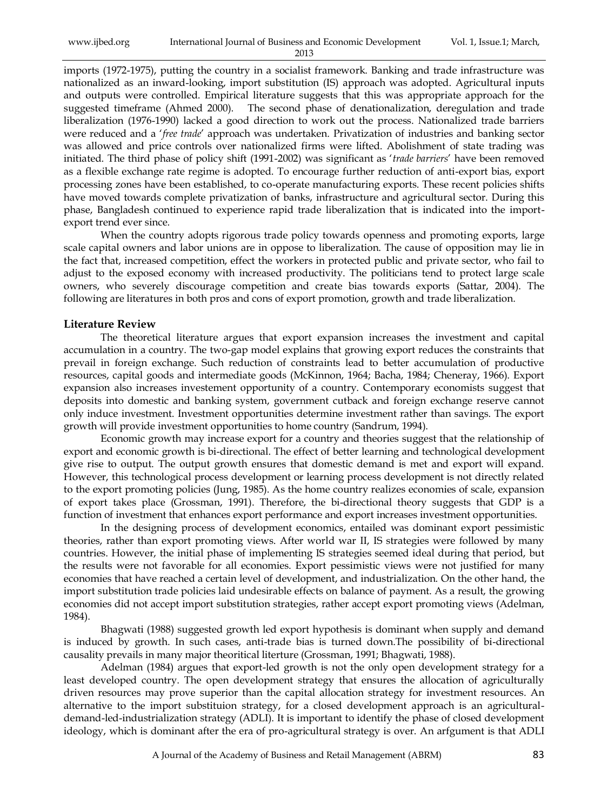| www.ijbed.org | International Journal of Business and Economic Development | Vol. 1, Issue.1; March, |
|---------------|------------------------------------------------------------|-------------------------|
|               | 2013                                                       |                         |

imports (1972-1975), putting the country in a socialist framework. Banking and trade infrastructure was nationalized as an inward-looking, import substitution (IS) approach was adopted. Agricultural inputs and outputs were controlled. Empirical literature suggests that this was appropriate approach for the suggested timeframe (Ahmed 2000). The second phase of denationalization, deregulation and trade liberalization (1976-1990) lacked a good direction to work out the process. Nationalized trade barriers were reduced and a "*free trade*" approach was undertaken. Privatization of industries and banking sector was allowed and price controls over nationalized firms were lifted. Abolishment of state trading was initiated. The third phase of policy shift (1991-2002) was significant as "*trade barriers*" have been removed as a flexible exchange rate regime is adopted. To encourage further reduction of anti-export bias, export processing zones have been established, to co-operate manufacturing exports. These recent policies shifts have moved towards complete privatization of banks, infrastructure and agricultural sector. During this phase, Bangladesh continued to experience rapid trade liberalization that is indicated into the importexport trend ever since.

When the country adopts rigorous trade policy towards openness and promoting exports, large scale capital owners and labor unions are in oppose to liberalization. The cause of opposition may lie in the fact that, increased competition, effect the workers in protected public and private sector, who fail to adjust to the exposed economy with increased productivity. The politicians tend to protect large scale owners, who severely discourage competition and create bias towards exports (Sattar, 2004). The following are literatures in both pros and cons of export promotion, growth and trade liberalization.

#### **Literature Review**

The theoretical literature argues that export expansion increases the investment and capital accumulation in a country. The two-gap model explains that growing export reduces the constraints that prevail in foreign exchange. Such reduction of constraints lead to better accumulation of productive resources, capital goods and intermediate goods (McKinnon, 1964; Bacha, 1984; Cheneray, 1966). Export expansion also increases investement opportunity of a country. Contemporary economists suggest that deposits into domestic and banking system, government cutback and foreign exchange reserve cannot only induce investment. Investment opportunities determine investment rather than savings. The export growth will provide investment opportunities to home country (Sandrum, 1994).

Economic growth may increase export for a country and theories suggest that the relationship of export and economic growth is bi-directional. The effect of better learning and technological development give rise to output. The output growth ensures that domestic demand is met and export will expand. However, this technological process development or learning process development is not directly related to the export promoting policies (Jung, 1985). As the home country realizes economies of scale, expansion of export takes place (Grossman, 1991). Therefore, the bi-directional theory suggests that GDP is a function of investment that enhances export performance and export increases investment opportunities.

In the designing process of development economics, entailed was dominant export pessimistic theories, rather than export promoting views. After world war II, IS strategies were followed by many countries. However, the initial phase of implementing IS strategies seemed ideal during that period, but the results were not favorable for all economies. Export pessimistic views were not justified for many economies that have reached a certain level of development, and industrialization. On the other hand, the import substitution trade policies laid undesirable effects on balance of payment. As a result, the growing economies did not accept import substitution strategies, rather accept export promoting views (Adelman, 1984).

Bhagwati (1988) suggested growth led export hypothesis is dominant when supply and demand is induced by growth. In such cases, anti-trade bias is turned down.The possibility of bi-directional causality prevails in many major theoritical literture (Grossman, 1991; Bhagwati, 1988).

Adelman (1984) argues that export-led growth is not the only open development strategy for a least developed country. The open development strategy that ensures the allocation of agriculturally driven resources may prove superior than the capital allocation strategy for investment resources. An alternative to the import substituion strategy, for a closed development approach is an agriculturaldemand-led-industrialization strategy (ADLI). It is important to identify the phase of closed development ideology, which is dominant after the era of pro-agricultural strategy is over. An arfgument is that ADLI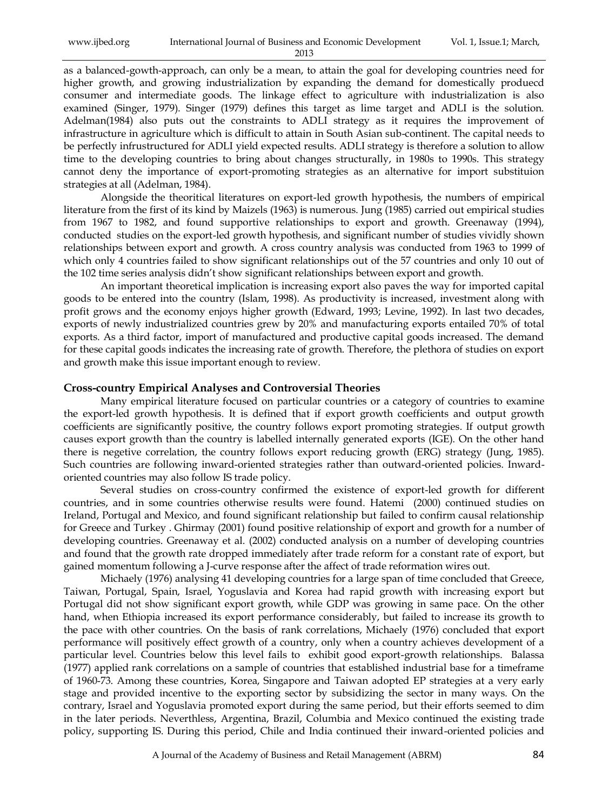| www.ijbed.org | International Journal of Business and Economic Development | Vol. 1, Issue.1; March, |
|---------------|------------------------------------------------------------|-------------------------|
|               | 2013                                                       |                         |

as a balanced-gowth-approach, can only be a mean, to attain the goal for developing countries need for higher growth, and growing industrialization by expanding the demand for domestically produecd consumer and intermediate goods. The linkage effect to agriculture with industrialization is also examined (Singer, 1979). Singer (1979) defines this target as lime target and ADLI is the solution. Adelman(1984) also puts out the constraints to ADLI strategy as it requires the improvement of infrastructure in agriculture which is difficult to attain in South Asian sub-continent. The capital needs to be perfectly infrustructured for ADLI yield expected results. ADLI strategy is therefore a solution to allow time to the developing countries to bring about changes structurally, in 1980s to 1990s. This strategy cannot deny the importance of export-promoting strategies as an alternative for import substituion strategies at all (Adelman, 1984).

Alongside the theoritical literatures on export-led growth hypothesis, the numbers of empirical literature from the first of its kind by Maizels (1963) is numerous. Jung (1985) carried out empirical studies from 1967 to 1982, and found supportive relationships to export and growth. Greenaway (1994), conducted studies on the export-led growth hypothesis, and significant number of studies vividly shown relationships between export and growth. A cross country analysis was conducted from 1963 to 1999 of which only 4 countries failed to show significant relationships out of the 57 countries and only 10 out of the 102 time series analysis didn"t show significant relationships between export and growth.

An important theoretical implication is increasing export also paves the way for imported capital goods to be entered into the country (Islam, 1998). As productivity is increased, investment along with profit grows and the economy enjoys higher growth (Edward, 1993; Levine, 1992). In last two decades, exports of newly industrialized countries grew by 20% and manufacturing exports entailed 70% of total exports. As a third factor, import of manufactured and productive capital goods increased. The demand for these capital goods indicates the increasing rate of growth. Therefore, the plethora of studies on export and growth make this issue important enough to review.

#### **Cross-country Empirical Analyses and Controversial Theories**

Many empirical literature focused on particular countries or a category of countries to examine the export-led growth hypothesis. It is defined that if export growth coefficients and output growth coefficients are significantly positive, the country follows export promoting strategies. If output growth causes export growth than the country is labelled internally generated exports (IGE). On the other hand there is negetive correlation, the country follows export reducing growth (ERG) strategy (Jung, 1985). Such countries are following inward-oriented strategies rather than outward-oriented policies. Inwardoriented countries may also follow IS trade policy.

Several studies on cross-country confirmed the existence of export-led growth for different countries, and in some countries otherwise results were found. Hatemi (2000) continued studies on Ireland, Portugal and Mexico, and found significant relationship but failed to confirm causal relationship for Greece and Turkey . Ghirmay (2001) found positive relationship of export and growth for a number of developing countries. Greenaway et al. (2002) conducted analysis on a number of developing countries and found that the growth rate dropped immediately after trade reform for a constant rate of export, but gained momentum following a J-curve response after the affect of trade reformation wires out.

Michaely (1976) analysing 41 developing countries for a large span of time concluded that Greece, Taiwan, Portugal, Spain, Israel, Yoguslavia and Korea had rapid growth with increasing export but Portugal did not show significant export growth, while GDP was growing in same pace. On the other hand, when Ethiopia increased its export performance considerably, but failed to increase its growth to the pace with other countries. On the basis of rank correlations, Michaely (1976) concluded that export performance will positively effect growth of a country, only when a country achieves development of a particular level. Countries below this level fails to exhibit good export-growth relationships. Balassa (1977) applied rank correlations on a sample of countries that established industrial base for a timeframe of 1960-73. Among these countries, Korea, Singapore and Taiwan adopted EP strategies at a very early stage and provided incentive to the exporting sector by subsidizing the sector in many ways. On the contrary, Israel and Yoguslavia promoted export during the same period, but their efforts seemed to dim in the later periods. Neverthless, Argentina, Brazil, Columbia and Mexico continued the existing trade policy, supporting IS. During this period, Chile and India continued their inward-oriented policies and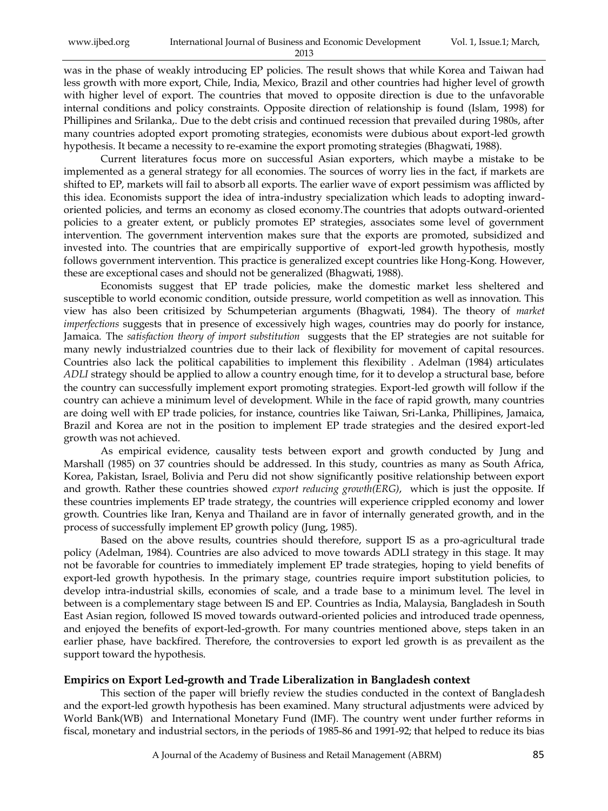was in the phase of weakly introducing EP policies. The result shows that while Korea and Taiwan had less growth with more export, Chile, India, Mexico, Brazil and other countries had higher level of growth with higher level of export. The countries that moved to opposite direction is due to the unfavorable internal conditions and policy constraints. Opposite direction of relationship is found (Islam, 1998) for Phillipines and Srilanka,. Due to the debt crisis and continued recession that prevailed during 1980s, after many countries adopted export promoting strategies, economists were dubious about export-led growth hypothesis. It became a necessity to re-examine the export promoting strategies (Bhagwati, 1988).

Current literatures focus more on successful Asian exporters, which maybe a mistake to be implemented as a general strategy for all economies. The sources of worry lies in the fact, if markets are shifted to EP, markets will fail to absorb all exports. The earlier wave of export pessimism was afflicted by this idea. Economists support the idea of intra-industry specialization which leads to adopting inwardoriented policies, and terms an economy as closed economy.The countries that adopts outward-oriented policies to a greater extent, or publicly promotes EP strategies, associates some level of government intervention. The government intervention makes sure that the exports are promoted, subsidized and invested into. The countries that are empirically supportive of export-led growth hypothesis, mostly follows government intervention. This practice is generalized except countries like Hong-Kong. However, these are exceptional cases and should not be generalized (Bhagwati, 1988).

Economists suggest that EP trade policies, make the domestic market less sheltered and susceptible to world economic condition, outside pressure, world competition as well as innovation. This view has also been critisized by Schumpeterian arguments (Bhagwati, 1984). The theory of *market imperfections* suggests that in presence of excessively high wages, countries may do poorly for instance, Jamaica. The *satisfaction theory of import substitution* suggests that the EP strategies are not suitable for many newly industrialzed countries due to their lack of flexibility for movement of capital resources. Countries also lack the political capabilities to implement this flexibility . Adelman (1984) articulates *ADLI* strategy should be applied to allow a country enough time, for it to develop a structural base, before the country can successfully implement export promoting strategies. Export-led growth will follow if the country can achieve a minimum level of development. While in the face of rapid growth, many countries are doing well with EP trade policies, for instance, countries like Taiwan, Sri-Lanka, Phillipines, Jamaica, Brazil and Korea are not in the position to implement EP trade strategies and the desired export-led growth was not achieved.

As empirical evidence, causality tests between export and growth conducted by Jung and Marshall (1985) on 37 countries should be addressed. In this study, countries as many as South Africa, Korea, Pakistan, Israel, Bolivia and Peru did not show significantly positive relationship between export and growth. Rather these countries showed *export reducing growth(ERG)*, which is just the opposite. If these countries implements EP trade strategy, the countries will experience crippled economy and lower growth. Countries like Iran, Kenya and Thailand are in favor of internally generated growth, and in the process of successfully implement EP growth policy (Jung, 1985).

Based on the above results, countries should therefore, support IS as a pro-agricultural trade policy (Adelman, 1984). Countries are also adviced to move towards ADLI strategy in this stage. It may not be favorable for countries to immediately implement EP trade strategies, hoping to yield benefits of export-led growth hypothesis. In the primary stage, countries require import substitution policies, to develop intra-industrial skills, economies of scale, and a trade base to a minimum level. The level in between is a complementary stage between IS and EP. Countries as India, Malaysia, Bangladesh in South East Asian region, followed IS moved towards outward-oriented policies and introduced trade openness, and enjoyed the benefits of export-led-growth. For many countries mentioned above, steps taken in an earlier phase, have backfired. Therefore, the controversies to export led growth is as prevailent as the support toward the hypothesis.

## **Empirics on Export Led-growth and Trade Liberalization in Bangladesh context**

This section of the paper will briefly review the studies conducted in the context of Bangladesh and the export-led growth hypothesis has been examined. Many structural adjustments were adviced by World Bank(WB) and International Monetary Fund (IMF). The country went under further reforms in fiscal, monetary and industrial sectors, in the periods of 1985-86 and 1991-92; that helped to reduce its bias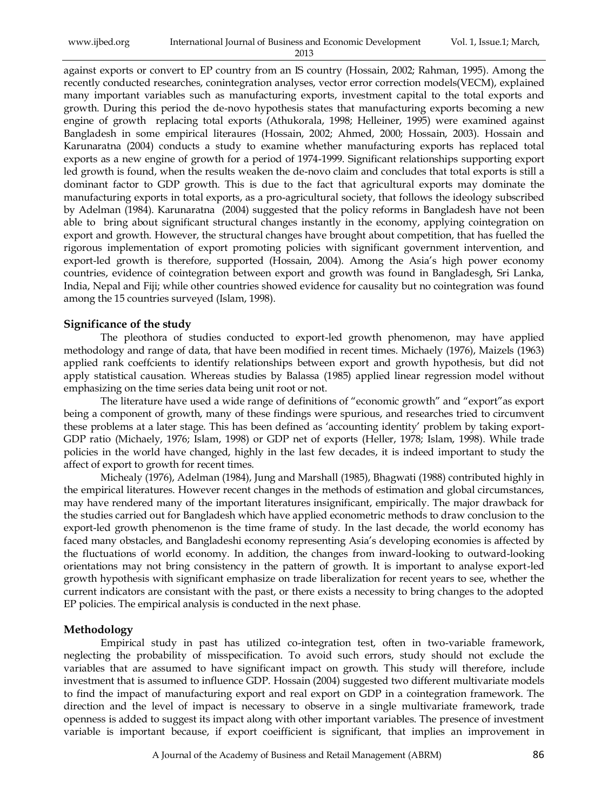| www.ijbed.org | International Journal of Business and Economic Development | Vol. 1, Issue.1; March, |
|---------------|------------------------------------------------------------|-------------------------|
|               | 2013                                                       |                         |

against exports or convert to EP country from an IS country (Hossain, 2002; Rahman, 1995). Among the recently conducted researches, conintegration analyses, vector error correction models(VECM), explained many important variables such as manufacturing exports, investment capital to the total exports and growth. During this period the de-novo hypothesis states that manufacturing exports becoming a new engine of growth replacing total exports (Athukorala, 1998; Helleiner, 1995) were examined against Bangladesh in some empirical literaures (Hossain, 2002; Ahmed, 2000; Hossain, 2003). Hossain and Karunaratna (2004) conducts a study to examine whether manufacturing exports has replaced total exports as a new engine of growth for a period of 1974-1999. Significant relationships supporting export led growth is found, when the results weaken the de-novo claim and concludes that total exports is still a dominant factor to GDP growth. This is due to the fact that agricultural exports may dominate the manufacturing exports in total exports, as a pro-agricultural society, that follows the ideology subscribed by Adelman (1984). Karunaratna (2004) suggested that the policy reforms in Bangladesh have not been able to bring about significant structural changes instantly in the economy, applying cointegration on export and growth. However, the structural changes have brought about competition, that has fuelled the rigorous implementation of export promoting policies with significant government intervention, and export-led growth is therefore, supported (Hossain, 2004). Among the Asia"s high power economy countries, evidence of cointegration between export and growth was found in Bangladesgh, Sri Lanka, India, Nepal and Fiji; while other countries showed evidence for causality but no cointegration was found among the 15 countries surveyed (Islam, 1998).

#### **Significance of the study**

The pleothora of studies conducted to export-led growth phenomenon, may have applied methodology and range of data, that have been modified in recent times. Michaely (1976), Maizels (1963) applied rank coeffcients to identify relationships between export and growth hypothesis, but did not apply statistical causation. Whereas studies by Balassa (1985) applied linear regression model without emphasizing on the time series data being unit root or not.

The literature have used a wide range of definitions of "economic growth" and "export"as export being a component of growth, many of these findings were spurious, and researches tried to circumvent these problems at a later stage. This has been defined as "accounting identity" problem by taking export-GDP ratio (Michaely, 1976; Islam, 1998) or GDP net of exports (Heller, 1978; Islam, 1998). While trade policies in the world have changed, highly in the last few decades, it is indeed important to study the affect of export to growth for recent times.

Michealy (1976), Adelman (1984), Jung and Marshall (1985), Bhagwati (1988) contributed highly in the empirical literatures. However recent changes in the methods of estimation and global circumstances, may have rendered many of the important literatures insignificant, empirically. The major drawback for the studies carried out for Bangladesh which have applied econometric methods to draw conclusion to the export-led growth phenomenon is the time frame of study. In the last decade, the world economy has faced many obstacles, and Bangladeshi economy representing Asia"s developing economies is affected by the fluctuations of world economy. In addition, the changes from inward-looking to outward-looking orientations may not bring consistency in the pattern of growth. It is important to analyse export-led growth hypothesis with significant emphasize on trade liberalization for recent years to see, whether the current indicators are consistant with the past, or there exists a necessity to bring changes to the adopted EP policies. The empirical analysis is conducted in the next phase.

#### **Methodology**

Empirical study in past has utilized co-integration test, often in two-variable framework, neglecting the probability of misspecification. To avoid such errors, study should not exclude the variables that are assumed to have significant impact on growth. This study will therefore, include investment that is assumed to influence GDP. Hossain (2004) suggested two different multivariate models to find the impact of manufacturing export and real export on GDP in a cointegration framework. The direction and the level of impact is necessary to observe in a single multivariate framework, trade openness is added to suggest its impact along with other important variables. The presence of investment variable is important because, if export coeifficient is significant, that implies an improvement in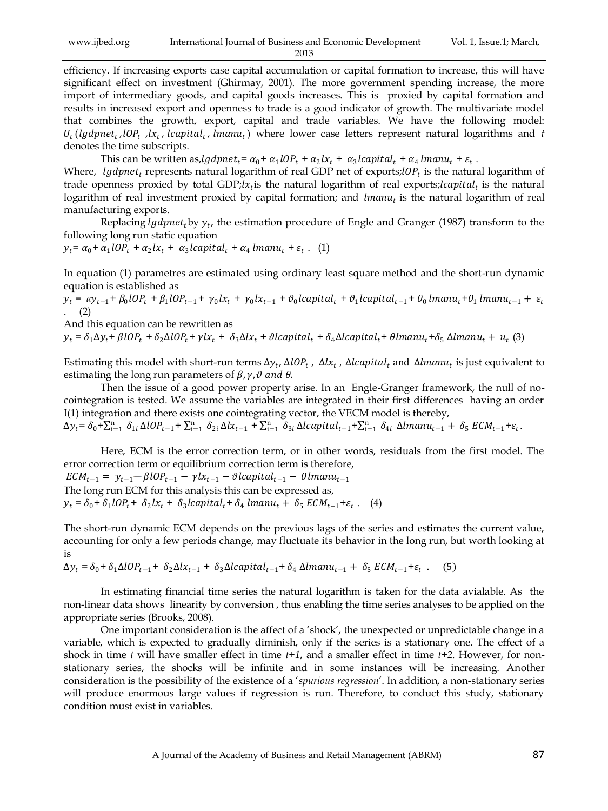efficiency. If increasing exports case capital accumulation or capital formation to increase, this will have significant effect on investment (Ghirmay, 2001). The more government spending increase, the more import of intermediary goods, and capital goods increases. This is proxied by capital formation and results in increased export and openness to trade is a good indicator of growth. The multivariate model that combines the growth, export, capital and trade variables. We have the following model:  $U_t$ (*lgdpnet<sub>t</sub>*,*lOP<sub>t</sub>*,*lx<sub>t</sub>*,*lcapital<sub>t</sub>*,*lmanu<sub>t</sub>*) where lower case letters represent natural logarithms and *t* denotes the time subscripts.

This can be written as, $lgdpnet_t = \alpha_0 + \alpha_1 lOP_t + \alpha_2 lx_t + \alpha_3 lcapital_t + \alpha_4 lmanu_t + \varepsilon_t$ .

Where, *lgdpnet<sub>t</sub>* represents natural logarithm of real GDP net of exports;*lOP<sub>t</sub>* is the natural logarithm of trade openness proxied by total GDP;  $lx_t$  is the natural logarithm of real exports; lcapital<sub>t</sub> is the natural logarithm of real investment proxied by capital formation; and  $l$ man $u_t$  is the natural logarithm of real manufacturing exports.

Replacing *lgdpnet<sub>t</sub>* by  $y_t$ , the estimation procedure of Engle and Granger (1987) transform to the following long run static equation

 $y_t = \alpha_0 + \alpha_1 l O P_t + \alpha_2 l x_t + \alpha_3 l c \alpha p it a l_t + \alpha_4 l m \alpha n u_t + \varepsilon_t$ . (1)

In equation (1) parametres are estimated using ordinary least square method and the short-run dynamic equation is established as

 $y_t = ay_{t-1} + \beta_0 lOP_t + \beta_1 lOP_{t-1} + \gamma_0 lx_t + \gamma_0 lx_{t-1} + \vartheta_0 lcapital_t + \vartheta_1 lcapital_{t-1} + \theta_0 lmanu_t + \theta_1 lmanu_{t-1} + \varepsilon_t$  $(2)$ 

And this equation can be rewritten as

 $y_t = \delta_1 \Delta y_t + \beta lOP_t + \delta_2 \Delta lOP_t + \gamma lx_t + \delta_3 \Delta lx_t + \vartheta lcapital_t + \delta_4 \Delta lcapital_t + \theta lmanu_t + \delta_5 \Delta lmanu_t + u_t$  (3)

Estimating this model with short-run terms  $\Delta y_t$ ,  $\Delta lOP_t$ ,  $\Delta lx_t$ ,  $\Delta lcapital_t$  and  $\Delta lmanu_t$  is just equivalent to estimating the long run parameters of  $\beta$ ,  $\gamma$ ,  $\vartheta$  and  $\theta$ .

Then the issue of a good power property arise. In an Engle-Granger framework, the null of nocointegration is tested. We assume the variables are integrated in their first differences having an order I(1) integration and there exists one cointegrating vector, the VECM model is thereby,

 $\Delta y_t = \delta_0 + \sum_{i=1}^n \delta_{1i} \Delta lOP_{t-1} + \sum_{i=1}^n \delta_{2i} \Delta lx_{t-1} + \sum_{i=1}^n \delta_{3i} \Delta lcapital_{t-1} + \sum_{i=1}^n \delta_{4i} \Delta lmanu_{t-1} + \delta_5 ECM_{t-1} + \varepsilon_t$ 

Here, ECM is the error correction term, or in other words, residuals from the first model. The error correction term or equilibrium correction term is therefore,

 $ECM_{t-1} = y_{t-1} - \beta lOP_{t-1} - \gamma lx_{t-1} - \vartheta lcapital_{t-1} - \theta lmanu_{t-1}$ The long run ECM for this analysis this can be expressed as,

 $y_t = \delta_0 + \delta_1 l O P_t + \delta_2 l x_t + \delta_3 l c \text{apital}_t + \delta_4 l \text{man} u_t + \delta_5 E C M_{t-1} + \varepsilon_t$ . (4)

The short-run dynamic ECM depends on the previous lags of the series and estimates the current value, accounting for only a few periods change, may fluctuate its behavior in the long run, but worth looking at is

 $\Delta y_t = \delta_0 + \delta_1 \Delta l O P_{t-1} + \delta_2 \Delta l x_{t-1} + \delta_3 \Delta l capital_{t-1} + \delta_4 \Delta l manu_{t-1} + \delta_5 \, ECM_{t-1} + \varepsilon_t$ . (5)

In estimating financial time series the natural logarithm is taken for the data avialable. As the non-linear data shows linearity by conversion , thus enabling the time series analyses to be applied on the appropriate series (Brooks, 2008).

One important consideration is the affect of a "shock", the unexpected or unpredictable change in a variable, which is expected to gradually diminish, only if the series is a stationary one. The effect of a shock in time *t* will have smaller effect in time *t+1*, and a smaller effect in time *t+2*. However, for nonstationary series, the shocks will be infinite and in some instances will be increasing. Another consideration is the possibility of the existence of a "*spurious regression*". In addition, a non-stationary series will produce enormous large values if regression is run. Therefore, to conduct this study, stationary condition must exist in variables.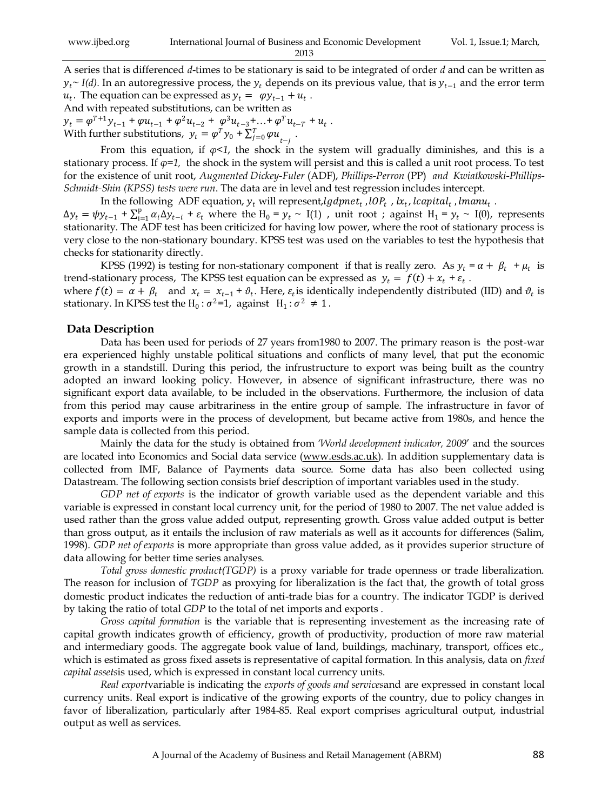A series that is differenced *d*-times to be stationary is said to be integrated of order *d* and can be written as  $y_t \sim I(d)$ . In an autoregressive process, the  $y_t$  depends on its previous value, that is  $y_{t-1}$  and the error term  $u_t$ . The equation can be expressed as  $y_t = \varphi y_{t-1} + u_t$ .

And with repeated substitutions, can be written as  $y_t = \varphi^{T+1} y_{t-1} + \varphi u_{t-1} + \varphi^2 u_{t-2} + \varphi^3 u_{t-3} + \dots + \varphi^T u_{t-T} + u_t$ .

With further substitutions,  $y_t = \varphi^T y_0 + \sum_{j=0}^T \varphi u_{t-j}$ .

From this equation, if  $\varphi \leq 1$ , the shock in the system will gradually diminishes, and this is a stationary process. If  $\varphi$ =1, the shock in the system will persist and this is called a unit root process. To test for the existence of unit root, *Augmented Dickey-Fuler* (ADF), *Phillips-Perron* (PP) *and Kwiatkowski-Phillips-Schmidt-Shin (KPSS) tests were run*. The data are in level and test regression includes intercept.

In the following ADF equation,  $y_t$  will represent, $lgdpnet_t$  , l $OP_t$  , l $x_t$ , lcapital<sub>t</sub>, lmanu<sub>t</sub>.  $\Delta y_t = \psi y_{t-1} + \sum_{i=1}^p \alpha_i \Delta y_{t-i}$  $\lim_{i=1}^{p} \alpha_i \Delta y_{t-i} + \varepsilon_t$  where the H<sub>0</sub> =  $y_t \sim I(1)$ , unit root; against H<sub>1</sub> =  $y_t \sim I(0)$ , represents stationarity. The ADF test has been criticized for having low power, where the root of stationary process is very close to the non-stationary boundary. KPSS test was used on the variables to test the hypothesis that checks for stationarity directly.

KPSS (1992) is testing for non-stationary component if that is really zero. As  $y_t = \alpha + \beta_t + \mu_t$  is trend-stationary process, The KPSS test equation can be expressed as  $y_t = f(t) + x_t + \varepsilon_t$ .

where  $f(t) = \alpha + \beta_t$  and  $x_t = x_{t-1} + \vartheta_t$ . Here,  $\varepsilon_t$  is identically independently distributed (IID) and  $\vartheta_t$  is stationary. In KPSS test the H<sub>0</sub>:  $\sigma^2$ =1, against H<sub>1</sub>:  $\sigma^2 \neq 1$ .

## **Data Description**

Data has been used for periods of 27 years from1980 to 2007. The primary reason is the post-war era experienced highly unstable political situations and conflicts of many level, that put the economic growth in a standstill. During this period, the infrustructure to export was being built as the country adopted an inward looking policy. However, in absence of significant infrastructure, there was no significant export data available, to be included in the observations. Furthermore, the inclusion of data from this period may cause arbitrariness in the entire group of sample. The infrastructure in favor of exports and imports were in the process of development, but became active from 1980s, and hence the sample data is collected from this period.

Mainly the data for the study is obtained from *'World development indicator, 2009*" and the sources are located into Economics and Social data service [\(www.esds.ac.uk\)](http://www.esds.ac.uk/). In addition supplementary data is collected from IMF, Balance of Payments data source. Some data has also been collected using Datastream. The following section consists brief description of important variables used in the study.

*GDP net of exports* is the indicator of growth variable used as the dependent variable and this variable is expressed in constant local currency unit, for the period of 1980 to 2007. The net value added is used rather than the gross value added output, representing growth. Gross value added output is better than gross output, as it entails the inclusion of raw materials as well as it accounts for differences (Salim, 1998). *GDP net of exports* is more appropriate than gross value added, as it provides superior structure of data allowing for better time series analyses.

*Total gross domestic product(TGDP)* is a proxy variable for trade openness or trade liberalization. The reason for inclusion of *TGDP* as proxying for liberalization is the fact that, the growth of total gross domestic product indicates the reduction of anti-trade bias for a country. The indicator TGDP is derived by taking the ratio of total *GDP* to the total of net imports and exports .

*Gross capital formation* is the variable that is representing investement as the increasing rate of capital growth indicates growth of efficiency, growth of productivity, production of more raw material and intermediary goods. The aggregate book value of land, buildings, machinary, transport, offices etc., which is estimated as gross fixed assets is representative of capital formation. In this analysis, data on *fixed capital assets*is used, which is expressed in constant local currency units.

*Real export*variable is indicating the *exports of goods and services*and are expressed in constant local currency units. Real export is indicative of the growing exports of the country, due to policy changes in favor of liberalization, particularly after 1984-85. Real export comprises agricultural output, industrial output as well as services.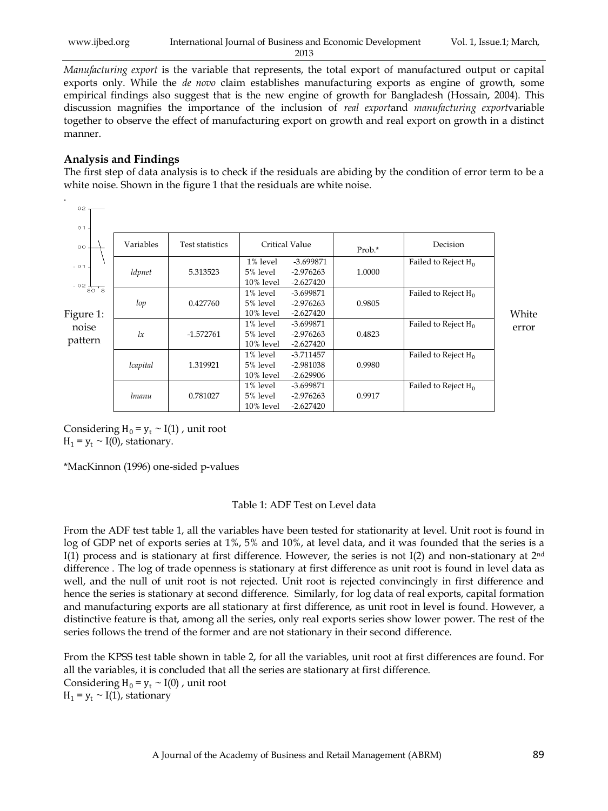| www.ijbed.org | International Journal of Business and Economic Development |  |  |
|---------------|------------------------------------------------------------|--|--|
|               | 2013                                                       |  |  |

*Manufacturing export* is the variable that represents, the total export of manufactured output or capital exports only. While the *de novo* claim establishes manufacturing exports as engine of growth, some empirical findings also suggest that is the new engine of growth for Bangladesh (Hossain, 2004). This discussion magnifies the importance of the inclusion of *real export*and *manufacturing export*variable together to observe the effect of manufacturing export on growth and real export on growth in a distinct manner.

#### **Analysis and Findings**

.

The first step of data analysis is to check if the residuals are abiding by the condition of error term to be a white noise. Shown in the figure 1 that the residuals are white noise.

| $O2 -$                             |           |                        |                                   |                                           |        |                        |       |
|------------------------------------|-----------|------------------------|-----------------------------------|-------------------------------------------|--------|------------------------|-------|
| $O1$ .<br>$_{\rm oo}$              | Variables | <b>Test statistics</b> |                                   | Critical Value                            | Prob.* | Decision               |       |
| $-01$                              | ldpnet    | 5.313523               | 1% level<br>5% level<br>10% level | $-3.699871$<br>$-2.976263$<br>$-2.627420$ | 1.0000 | Failed to Reject $H_0$ |       |
| $-02\frac{1}{80} - 8$<br>Figure 1: | lop       | 0.427760               | 1% level<br>5% level<br>10% level | -3.699871<br>$-2.976263$<br>$-2.627420$   | 0.9805 | Failed to Reject $H_0$ | White |
| noise<br>pattern                   | lx        | $-1.572761$            | 1% level<br>5% level<br>10% level | -3.699871<br>$-2.976263$<br>$-2.627420$   | 0.4823 | Failed to Reject $H_0$ | error |
|                                    | lcapital  | 1.319921               | 1% level<br>5% level<br>10% level | $-3.711457$<br>$-2.981038$<br>$-2.629906$ | 0.9980 | Failed to Reject $H_0$ |       |
|                                    | lmanu     | 0.781027               | 1% level<br>5% level<br>10% level | -3.699871<br>$-2.976263$<br>$-2.627420$   | 0.9917 | Failed to Reject $H_0$ |       |

Considering  $H_0 = y_t \sim I(1)$ , unit root  $H_1 = y_t \sim I(0)$ , stationary.

\*MacKinnon (1996) one-sided p-values

#### Table 1: ADF Test on Level data

From the ADF test table 1, all the variables have been tested for stationarity at level. Unit root is found in log of GDP net of exports series at 1%, 5% and 10%, at level data, and it was founded that the series is a I(1) process and is stationary at first difference. However, the series is not I(2) and non-stationary at  $2<sup>nd</sup>$ difference . The log of trade openness is stationary at first difference as unit root is found in level data as well, and the null of unit root is not rejected. Unit root is rejected convincingly in first difference and hence the series is stationary at second difference. Similarly, for log data of real exports, capital formation and manufacturing exports are all stationary at first difference, as unit root in level is found. However, a distinctive feature is that, among all the series, only real exports series show lower power. The rest of the series follows the trend of the former and are not stationary in their second difference.

From the KPSS test table shown in table 2, for all the variables, unit root at first differences are found. For all the variables, it is concluded that all the series are stationary at first difference. Considering  $H_0 = y_t \sim I(0)$ , unit root  $H_1 = y_t \sim I(1)$ , stationary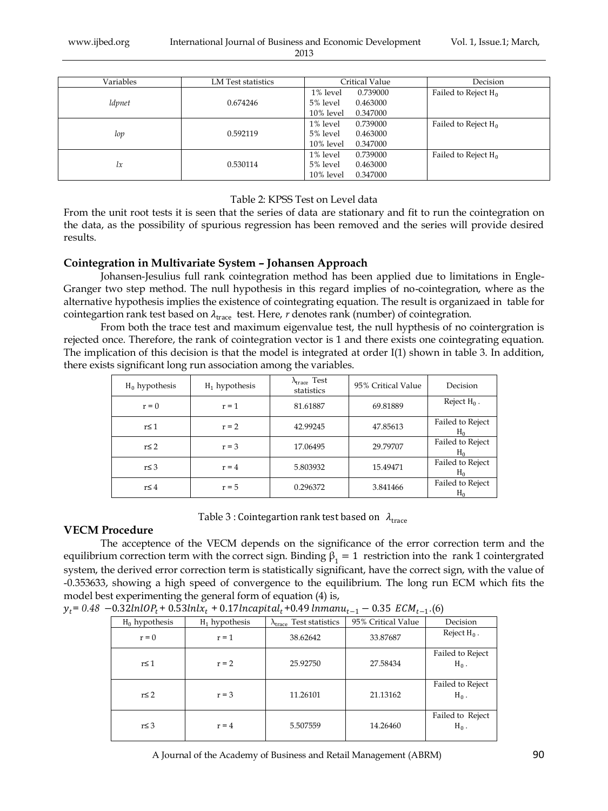| Variables | LM Test statistics | Critical Value        | Decision               |
|-----------|--------------------|-----------------------|------------------------|
|           |                    | 1% level<br>0.739000  | Failed to Reject $H_0$ |
| ldpnet    | 0.674246           | 5% level<br>0.463000  |                        |
|           |                    | 10% level<br>0.347000 |                        |
|           |                    | 1% level<br>0.739000  | Failed to Reject $H_0$ |
| lop       | 0.592119           | 5% level<br>0.463000  |                        |
|           |                    | 10% level<br>0.347000 |                        |
|           |                    | 1% level<br>0.739000  | Failed to Reject $H_0$ |
| lx        | 0.530114           | 5% level<br>0.463000  |                        |
|           |                    | 10% level<br>0.347000 |                        |

### Table 2: KPSS Test on Level data

From the unit root tests it is seen that the series of data are stationary and fit to run the cointegration on the data, as the possibility of spurious regression has been removed and the series will provide desired results.

## **Cointegration in Multivariate System – Johansen Approach**

Johansen-Jesulius full rank cointegration method has been applied due to limitations in Engle-Granger two step method. The null hypothesis in this regard implies of no-cointegration, where as the alternative hypothesis implies the existence of cointegrating equation. The result is organizaed in table for cointegartion rank test based on  $\lambda_{\text{trace}}$  test. Here, *r* denotes rank (number) of cointegration.

From both the trace test and maximum eigenvalue test, the null hypthesis of no cointergration is rejected once. Therefore, the rank of cointegration vector is 1 and there exists one cointegrating equation. The implication of this decision is that the model is integrated at order I(1) shown in table 3. In addition, there exists significant long run association among the variables.

| $H_0$ hypothesis | $H_1$ hypothesis | $\lambda_\text{trace}$ Test<br>statistics | 95% Critical Value | Decision                    |
|------------------|------------------|-------------------------------------------|--------------------|-----------------------------|
| $r = 0$          | $r = 1$          | 81.61887                                  | 69.81889           | Reject $H_0$ .              |
| r≤ 1             | $r = 2$          | 42.99245                                  | 47.85613           | Failed to Reject<br>$H_0$   |
| $r \leq 2$       | $r = 3$          | 17.06495                                  | 29.79707           | Failed to Reject<br>$H_{0}$ |
| $r \leq 3$       | $r = 4$          | 5.803932                                  | 15.49471           | Failed to Reject<br>$H_0$   |
| $r \leq 4$       | $r = 5$          | 0.296372                                  | 3.841466           | Failed to Reject<br>$H_0$   |

Table 3 : Cointegartion rank test based on  $\lambda_{\text{trace}}$ 

## **VECM Procedure**

The acceptence of the VECM depends on the significance of the error correction term and the equilibrium correction term with the correct sign. Binding  $\beta_1 = 1$  restriction into the rank 1 cointergrated system, the derived error correction term is statistically significant, have the correct sign, with the value of -0.353633, showing a high speed of convergence to the equilibrium. The long run ECM which fits the model best experimenting the general form of equation (4) is,

| $H_0$ hypothesis | $H_1$ hypothesis | $\lambda_{\text{trace}}$ Test statistics | 95% Critical Value | Decision                    |
|------------------|------------------|------------------------------------------|--------------------|-----------------------------|
| $r = 0$          | $r = 1$          | 38.62642                                 | 33.87687           | Reject $H_0$ .              |
| $r \leq 1$       | $r = 2$          | 25.92750                                 | 27.58434           | Failed to Reject<br>$H_0$ . |
| $r \leq 2$       | $r = 3$          | 11.26101                                 | 21.13162           | Failed to Reject<br>$H_0$ . |
| $r \leq 3$       | $r = 4$          | 5.507559                                 | 14.26460           | Failed to Reject<br>$H_0$ . |

|  |  | $y_t$ = 0.48 $-0.32ln l\Omega P_t$ + 0.53lnl $x_t$ + 0.17lncapital <sub>t</sub> +0.49 lnmanu <sub>t-1</sub> $-$ 0.35 $\mathit{ECM}_{t-1}$ .(6) |  |  |
|--|--|------------------------------------------------------------------------------------------------------------------------------------------------|--|--|
|--|--|------------------------------------------------------------------------------------------------------------------------------------------------|--|--|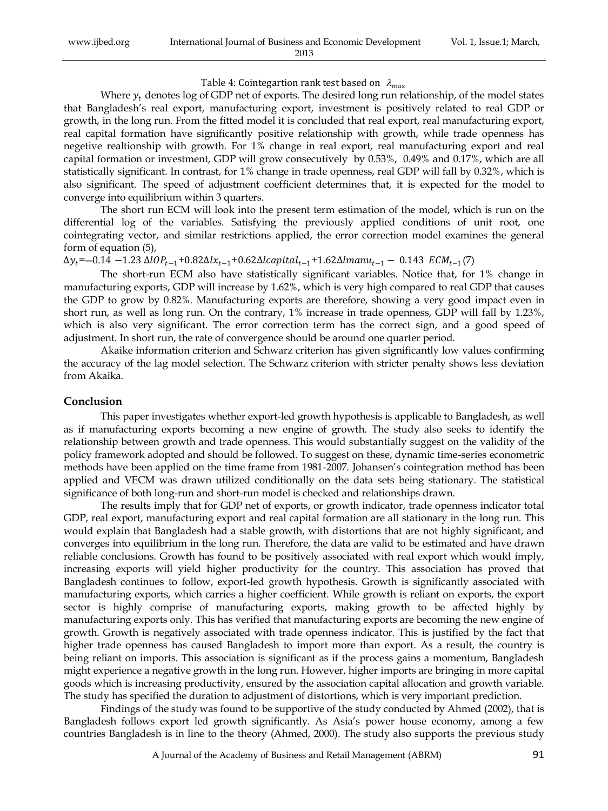| www.ijbed.org | International Journal of Business and Economic Development | Vol. 1, Issue.1; March, |
|---------------|------------------------------------------------------------|-------------------------|
|               | 2013                                                       |                         |

#### Table 4: Cointegartion rank test based on  $\lambda_{\text{max}}$

Where  $y_t$  denotes log of GDP net of exports. The desired long run relationship, of the model states that Bangladesh"s real export, manufacturing export, investment is positively related to real GDP or growth, in the long run. From the fitted model it is concluded that real export, real manufacturing export, real capital formation have significantly positive relationship with growth, while trade openness has negetive realtionship with growth. For 1% change in real export, real manufacturing export and real capital formation or investment, GDP will grow consecutively by 0.53%, 0.49% and 0.17%, which are all statistically significant. In contrast, for 1% change in trade openness, real GDP will fall by 0.32%, which is also significant. The speed of adjustment coefficient determines that, it is expected for the model to converge into equilibrium within 3 quarters.

The short run ECM will look into the present term estimation of the model, which is run on the differential log of the variables. Satisfying the previously applied conditions of unit root, one cointegrating vector, and similar restrictions applied, the error correction model examines the general form of equation (5),

 $\Delta y_t$ = $-0.14$   $-1.23$   $\Delta lOP_{t-1}$ + $0.82$  $\Delta l x_{t-1}$ + $0.62$  $\Delta lcapital_{t-1}$ + $1.62$  $\Delta lmanu_{t-1}$   $\ 0.143$   $\ \ ECM_{t-1}(7)$ 

The short-run ECM also have statistically significant variables. Notice that, for 1% change in manufacturing exports, GDP will increase by 1.62%, which is very high compared to real GDP that causes the GDP to grow by 0.82%. Manufacturing exports are therefore, showing a very good impact even in short run, as well as long run. On the contrary, 1% increase in trade openness, GDP will fall by 1.23%, which is also very significant. The error correction term has the correct sign, and a good speed of adjustment. In short run, the rate of convergence should be around one quarter period.

Akaike information criterion and Schwarz criterion has given significantly low values confirming the accuracy of the lag model selection. The Schwarz criterion with stricter penalty shows less deviation from Akaika.

#### **Conclusion**

This paper investigates whether export-led growth hypothesis is applicable to Bangladesh, as well as if manufacturing exports becoming a new engine of growth. The study also seeks to identify the relationship between growth and trade openness. This would substantially suggest on the validity of the policy framework adopted and should be followed. To suggest on these, dynamic time-series econometric methods have been applied on the time frame from 1981-2007. Johansen"s cointegration method has been applied and VECM was drawn utilized conditionally on the data sets being stationary. The statistical significance of both long-run and short-run model is checked and relationships drawn.

The results imply that for GDP net of exports, or growth indicator, trade openness indicator total GDP, real export, manufacturing export and real capital formation are all stationary in the long run. This would explain that Bangladesh had a stable growth, with distortions that are not highly significant, and converges into equilibrium in the long run. Therefore, the data are valid to be estimated and have drawn reliable conclusions. Growth has found to be positively associated with real export which would imply, increasing exports will yield higher productivity for the country. This association has proved that Bangladesh continues to follow, export-led growth hypothesis. Growth is significantly associated with manufacturing exports, which carries a higher coefficient. While growth is reliant on exports, the export sector is highly comprise of manufacturing exports, making growth to be affected highly by manufacturing exports only. This has verified that manufacturing exports are becoming the new engine of growth. Growth is negatively associated with trade openness indicator. This is justified by the fact that higher trade openness has caused Bangladesh to import more than export. As a result, the country is being reliant on imports. This association is significant as if the process gains a momentum, Bangladesh might experience a negative growth in the long run. However, higher imports are bringing in more capital goods which is increasing productivity, ensured by the association capital allocation and growth variable. The study has specified the duration to adjustment of distortions, which is very important prediction.

Findings of the study was found to be supportive of the study conducted by Ahmed (2002), that is Bangladesh follows export led growth significantly. As Asia's power house economy, among a few countries Bangladesh is in line to the theory (Ahmed, 2000). The study also supports the previous study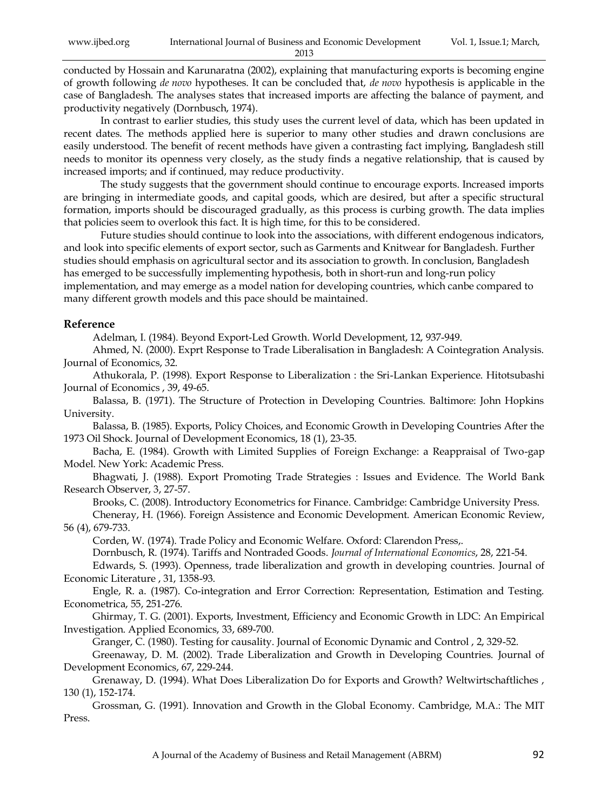conducted by Hossain and Karunaratna (2002), explaining that manufacturing exports is becoming engine of growth following *de novo* hypotheses. It can be concluded that, *de novo* hypothesis is applicable in the case of Bangladesh. The analyses states that increased imports are affecting the balance of payment, and productivity negatively (Dornbusch, 1974).

In contrast to earlier studies, this study uses the current level of data, which has been updated in recent dates. The methods applied here is superior to many other studies and drawn conclusions are easily understood. The benefit of recent methods have given a contrasting fact implying, Bangladesh still needs to monitor its openness very closely, as the study finds a negative relationship, that is caused by increased imports; and if continued, may reduce productivity.

The study suggests that the government should continue to encourage exports. Increased imports are bringing in intermediate goods, and capital goods, which are desired, but after a specific structural formation, imports should be discouraged gradually, as this process is curbing growth. The data implies that policies seem to overlook this fact. It is high time, for this to be considered.

Future studies should continue to look into the associations, with different endogenous indicators, and look into specific elements of export sector, such as Garments and Knitwear for Bangladesh. Further studies should emphasis on agricultural sector and its association to growth. In conclusion, Bangladesh has emerged to be successfully implementing hypothesis, both in short-run and long-run policy implementation, and may emerge as a model nation for developing countries, which canbe compared to many different growth models and this pace should be maintained.

### **Reference**

Adelman, I. (1984). Beyond Export-Led Growth. World Development, 12, 937-949.

Ahmed, N. (2000). Exprt Response to Trade Liberalisation in Bangladesh: A Cointegration Analysis. Journal of Economics, 32.

Athukorala, P. (1998). Export Response to Liberalization : the Sri-Lankan Experience. Hitotsubashi Journal of Economics , 39, 49-65.

Balassa, B. (1971). The Structure of Protection in Developing Countries. Baltimore: John Hopkins University.

Balassa, B. (1985). Exports, Policy Choices, and Economic Growth in Developing Countries After the 1973 Oil Shock. Journal of Development Economics, 18 (1), 23-35.

Bacha, E. (1984). Growth with Limited Supplies of Foreign Exchange: a Reappraisal of Two-gap Model. New York: Academic Press.

Bhagwati, J. (1988). Export Promoting Trade Strategies : Issues and Evidence. The World Bank Research Observer, 3, 27-57.

Brooks, C. (2008). Introductory Econometrics for Finance. Cambridge: Cambridge University Press.

Cheneray, H. (1966). Foreign Assistence and Economic Development. American Economic Review, 56 (4), 679-733.

Corden, W. (1974). Trade Policy and Economic Welfare. Oxford: Clarendon Press,.

Dornbusch, R. (1974). Tariffs and Nontraded Goods. *Journal of International Economics*, 28, 221-54.

Edwards, S. (1993). Openness, trade liberalization and growth in developing countries. Journal of Economic Literature , 31, 1358-93.

Engle, R. a. (1987). Co-integration and Error Correction: Representation, Estimation and Testing. Econometrica, 55, 251-276.

Ghirmay, T. G. (2001). Exports, Investment, Efficiency and Economic Growth in LDC: An Empirical Investigation. Applied Economics, 33, 689-700.

Granger, C. (1980). Testing for causality. Journal of Economic Dynamic and Control , 2, 329-52.

Greenaway, D. M. (2002). Trade Liberalization and Growth in Developing Countries. Journal of Development Economics, 67, 229-244.

Grenaway, D. (1994). What Does Liberalization Do for Exports and Growth? Weltwirtschaftliches , 130 (1), 152-174.

Grossman, G. (1991). Innovation and Growth in the Global Economy. Cambridge, M.A.: The MIT Press.